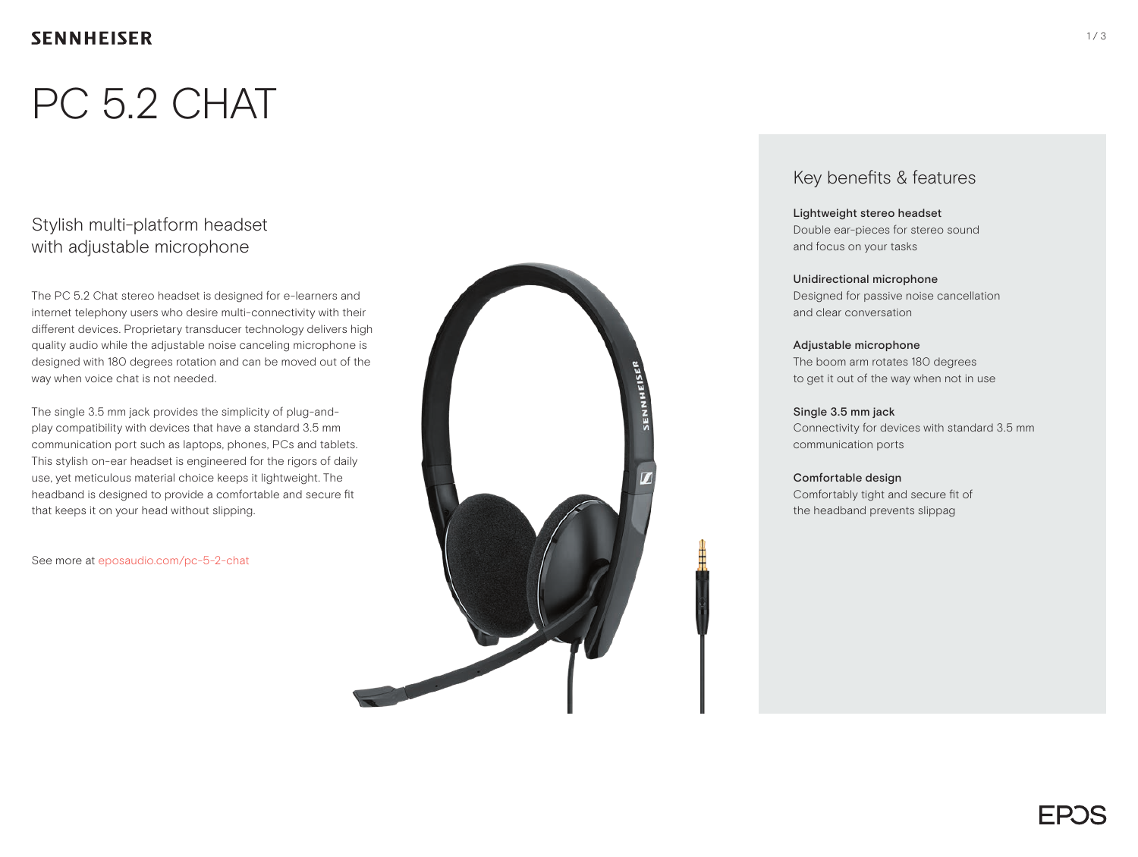### **SENNHEISER**

# PC 5.2 CHAT

### Stylish multi-platform headset with adjustable microphone

The PC 5.2 Chat stereo headset is designed for e-learners and internet telephony users who desire multi-connectivity with their different devices. Proprietary transducer technology delivers high quality audio while the adjustable noise canceling microphone is designed with 180 degrees rotation and can be moved out of the way when voice chat is not needed.

The single 3.5 mm jack provides the simplicity of plug-andplay compatibility with devices that have a standard 3.5 mm communication port such as laptops, phones, PCs and tablets. This stylish on-ear headset is engineered for the rigors of daily use, yet meticulous material choice keeps it lightweight. The headband is designed to provide a comfortable and secure fit that keeps it on your head without slipping.

See more at eposaudio.com/pc-5-2-chat



### Key benefits & features

#### Lightweight stereo headset

Double ear-pieces for stereo sound and focus on your tasks

#### Unidirectional microphone

Designed for passive noise cancellation and clear conversation

#### Adjustable microphone

The boom arm rotates 180 degrees to get it out of the way when not in use

#### Single 3.5 mm jack Connectivity for devices with standard 3.5 mm communication ports

Comfortable design Comfortably tight and secure fit of the headband prevents slippag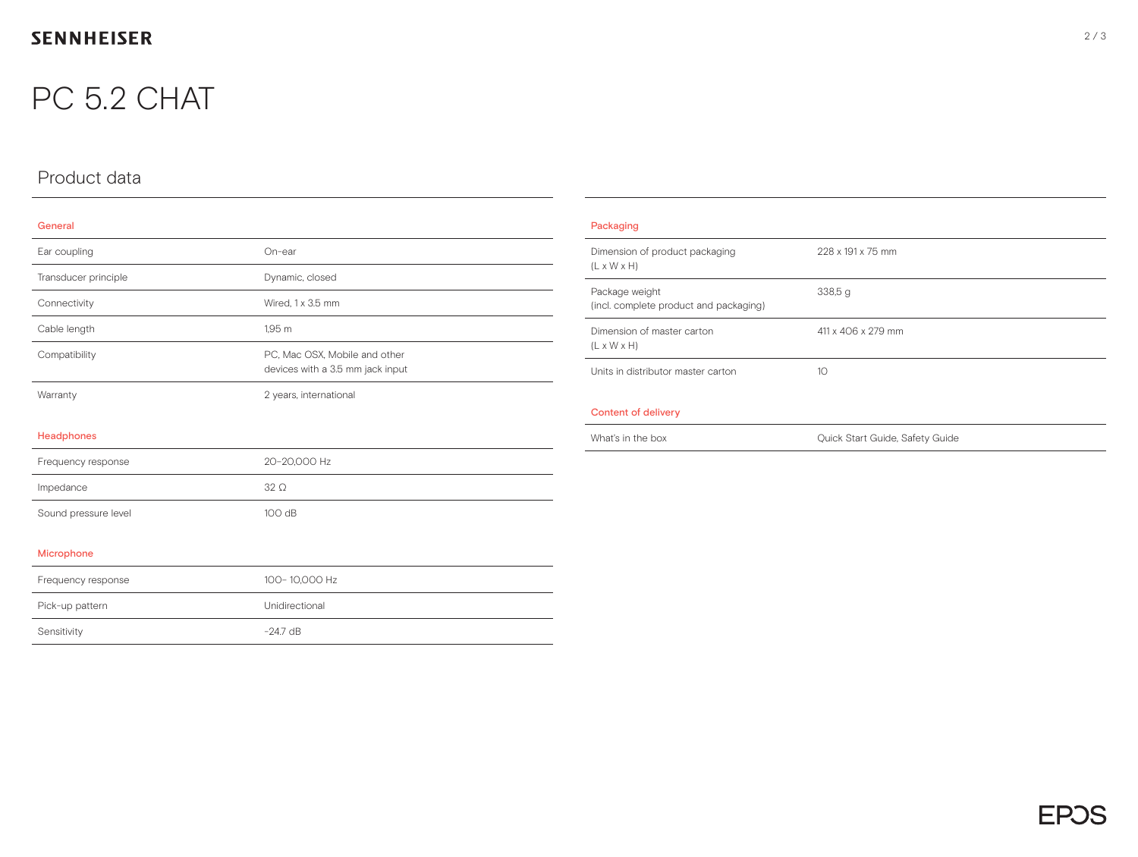## **SENNHEISER**

## PC 5.2 CHAT

## Product data

#### General

| Ear coupling         | On-ear                                                            |
|----------------------|-------------------------------------------------------------------|
| Transducer principle | Dynamic, closed                                                   |
| Connectivity         | Wired, 1 x 3.5 mm                                                 |
| Cable length         | 1,95 m                                                            |
| Compatibility        | PC, Mac OSX, Mobile and other<br>devices with a 3.5 mm jack input |
| Warranty             | 2 years, international                                            |
|                      |                                                                   |
| <b>Headphones</b>    |                                                                   |
| Frequency response   | 20-20,000 Hz                                                      |
| Impedance            | $32\Omega$                                                        |
| Sound pressure level | 100 dB                                                            |
|                      |                                                                   |
| Microphone           |                                                                   |
| Frequency response   | 100-10,000 Hz                                                     |
| Pick-up pattern      | Unidirectional                                                    |
| Sensitivity          | $-24.7$ dB                                                        |

| Packaging                                                 |                                 |  |
|-----------------------------------------------------------|---------------------------------|--|
| Dimension of product packaging<br>$(L \times W \times H)$ | 228 x 191 x 75 mm               |  |
| Package weight<br>(incl. complete product and packaging)  | 338,5g                          |  |
| Dimension of master carton<br>$(L \times W \times H)$     | 411 x 406 x 279 mm              |  |
| Units in distributor master carton                        | 10 <sup>2</sup>                 |  |
| Content of delivery                                       |                                 |  |
| What's in the box                                         | Quick Start Guide, Safety Guide |  |